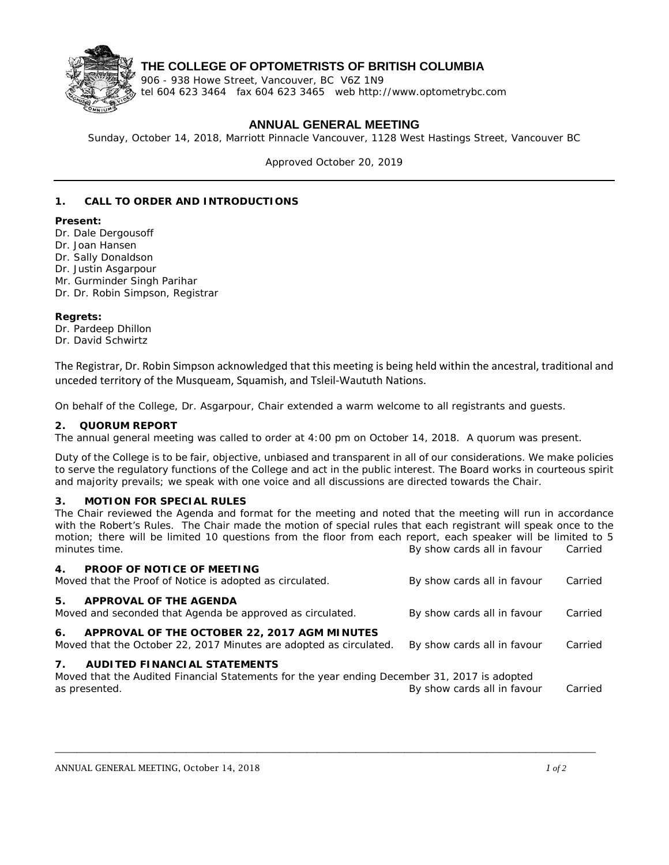

## **THE COLLEGE OF OPTOMETRISTS OF BRITISH COLUMBIA**

906 - 938 Howe Street, Vancouver, BC V6Z 1N9 tel 604 623 3464 fax 604 623 3465 web http://www.optometrybc.com

## **ANNUAL GENERAL MEETING**

Sunday, October 14, 2018, Marriott Pinnacle Vancouver, 1128 West Hastings Street, Vancouver BC

Approved October 20, 2019

### **1. CALL TO ORDER AND INTRODUCTIONS**

#### **Present:**

- Dr. Dale Dergousoff
- Dr. Joan Hansen
- Dr. Sally Donaldson
- Dr. Justin Asgarpour
- Mr. Gurminder Singh Parihar
- Dr. Dr. Robin Simpson, Registrar

#### **Regrets:**

Dr. Pardeep Dhillon Dr. David Schwirtz

The Registrar, Dr. Robin Simpson acknowledged that this meeting is being held within the ancestral, traditional and unceded territory of the Musqueam, Squamish, and Tsleil-Waututh Nations.

On behalf of the College, Dr. Asgarpour, Chair extended a warm welcome to all registrants and guests.

#### **2. QUORUM REPORT**

The annual general meeting was called to order at 4:00 pm on October 14, 2018. A quorum was present.

Duty of the College is to be fair, objective, unbiased and transparent in all of our considerations. We make policies to serve the regulatory functions of the College and act in the public interest. The Board works in courteous spirit and majority prevails; we speak with one voice and all discussions are directed towards the Chair.

#### **3. MOTION FOR SPECIAL RULES**

The Chair reviewed the Agenda and format for the meeting and noted that the meeting will run in accordance with the Robert's Rules. The Chair made the motion of special rules that each registrant will speak once to the motion; there will be limited 10 questions from the floor from each report, each speaker will be limited to 5 minutes time. *By show cards all in favour Carried*

| <b>PROOF OF NOTICE OF MEETING</b><br>$4_{\cdot}$<br>Moved that the Proof of Notice is adopted as circulated.                                                           | By show cards all in favour | Carried |
|------------------------------------------------------------------------------------------------------------------------------------------------------------------------|-----------------------------|---------|
| APPROVAL OF THE AGENDA<br>5.<br>Moved and seconded that Agenda be approved as circulated.                                                                              | By show cards all in favour | Carried |
| APPROVAL OF THE OCTOBER 22, 2017 AGM MINUTES<br>6.<br>Moved that the October 22, 2017 Minutes are adopted as circulated.                                               | By show cards all in favour | Carried |
| 7 <sub>1</sub><br><b>AUDITED FINANCIAL STATEMENTS</b><br>Moved that the Audited Financial Statements for the year ending December 31, 2017 is adopted<br>as presented. | By show cards all in favour | Carried |

\_\_\_\_\_\_\_\_\_\_\_\_\_\_\_\_\_\_\_\_\_\_\_\_\_\_\_\_\_\_\_\_\_\_\_\_\_\_\_\_\_\_\_\_\_\_\_\_\_\_\_\_\_\_\_\_\_\_\_\_\_\_\_\_\_\_\_\_\_\_\_\_\_\_\_\_\_\_\_\_\_\_\_\_\_\_\_\_\_\_\_\_\_\_\_\_\_\_\_